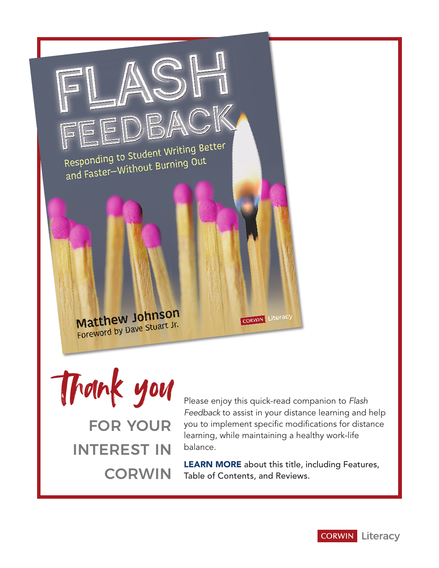

Thank you FOR YOUR

INTEREST IN **CORWIN** 

Please enjoy this quick-read companion to *Flash Feedback* to assist in your distance learning and help you to implement specific modifications for distance learning, while maintaining a healthy work-life balance.

[LEARN MORE](https://us.corwin.com/en-us/nam/flash-feedback-grades-6-12/book266175) about this title, including Features, Table of Contents, and Reviews.

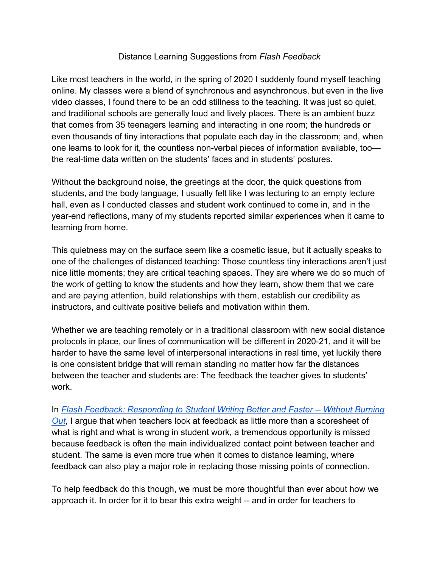#### Distance Learning Suggestions from *Flash Feedback*

Like most teachers in the world, in the spring of 2020 I suddenly found myself teaching online. My classes were a blend of synchronous and asynchronous, but even in the live video classes, I found there to be an odd stillness to the teaching. It was just so quiet, and traditional schools are generally loud and lively places. There is an ambient buzz that comes from 35 teenagers learning and interacting in one room; the hundreds or even thousands of tiny interactions that populate each day in the classroom; and, when one learns to look for it, the countless non-verbal pieces of information available, too the real-time data written on the students' faces and in students' postures.

Without the background noise, the greetings at the door, the quick questions from students, and the body language, I usually felt like I was lecturing to an empty lecture hall, even as I conducted classes and student work continued to come in, and in the year-end reflections, many of my students reported similar experiences when it came to learning from home.

This quietness may on the surface seem like a cosmetic issue, but it actually speaks to one of the challenges of distanced teaching: Those countless tiny interactions aren't just nice little moments; they are critical teaching spaces. They are where we do so much of the work of getting to know the students and how they learn, show them that we care and are paying attention, build relationships with them, establish our credibility as instructors, and cultivate positive beliefs and motivation within them.

Whether we are teaching remotely or in a traditional classroom with new social distance protocols in place, our lines of communication will be different in 2020-21, and it will be harder to have the same level of interpersonal interactions in real time, yet luckily there is one consistent bridge that will remain standing no matter how far the distances between the teacher and students are: The feedback the teacher gives to students' work.

In *[Flash Feedback: Responding to Student Writing Better and Faster --](https://us.corwin.com/en-us/nam/flash-feedback-grades-6-12/book266175) Without Burning [Out](https://us.corwin.com/en-us/nam/flash-feedback-grades-6-12/book266175)*, I argue that when teachers look at feedback as little more than a scoresheet of what is right and what is wrong in student work, a tremendous opportunity is missed because feedback is often the main individualized contact point between teacher and student. The same is even more true when it comes to distance learning, where feedback can also play a major role in replacing those missing points of connection.

To help feedback do this though, we must be more thoughtful than ever about how we approach it. In order for it to bear this extra weight -- and in order for teachers to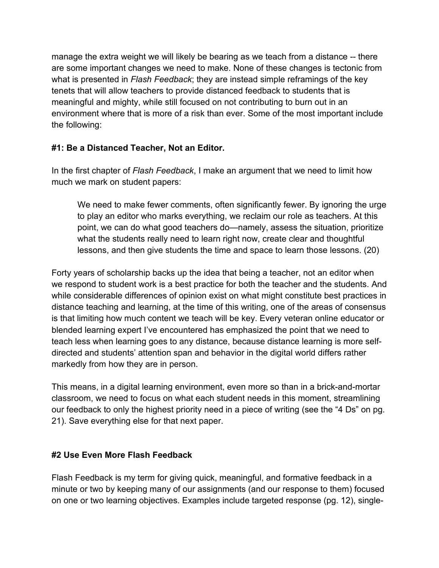manage the extra weight we will likely be bearing as we teach from a distance -- there are some important changes we need to make. None of these changes is tectonic from what is presented in *Flash Feedback*; they are instead simple reframings of the key tenets that will allow teachers to provide distanced feedback to students that is meaningful and mighty, while still focused on not contributing to burn out in an environment where that is more of a risk than ever. Some of the most important include the following:

## **#1: Be a Distanced Teacher, Not an Editor.**

In the first chapter of *Flash Feedback*, I make an argument that we need to limit how much we mark on student papers:

We need to make fewer comments, often significantly fewer. By ignoring the urge to play an editor who marks everything, we reclaim our role as teachers. At this point, we can do what good teachers do—namely, assess the situation, prioritize what the students really need to learn right now, create clear and thoughtful lessons, and then give students the time and space to learn those lessons. (20)

Forty years of scholarship backs up the idea that being a teacher, not an editor when we respond to student work is a best practice for both the teacher and the students. And while considerable differences of opinion exist on what might constitute best practices in distance teaching and learning, at the time of this writing, one of the areas of consensus is that limiting how much content we teach will be key. Every veteran online educator or blended learning expert I've encountered has emphasized the point that we need to teach less when learning goes to any distance, because distance learning is more selfdirected and students' attention span and behavior in the digital world differs rather markedly from how they are in person.

This means, in a digital learning environment, even more so than in a brick-and-mortar classroom, we need to focus on what each student needs in this moment, streamlining our feedback to only the highest priority need in a piece of writing (see the "4 Ds" on pg. 21). Save everything else for that next paper.

### **#2 Use Even More Flash Feedback**

Flash Feedback is my term for giving quick, meaningful, and formative feedback in a minute or two by keeping many of our assignments (and our response to them) focused on one or two learning objectives. Examples include targeted response (pg. 12), single-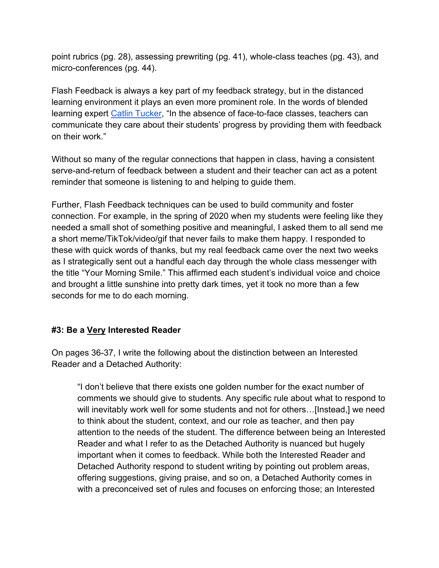point rubrics (pg. 28), assessing prewriting (pg. 41), whole-class teaches (pg. 43), and micro-conferences (pg. 44).

Flash Feedback is always a key part of my feedback strategy, but in the distanced learning environment it plays an even more prominent role. In the words of blended learning expert [Catlin Tucker,](https://catlintucker.com/2020/04/personalizing-feedback-online/) "In the absence of face-to-face classes, teachers can communicate they care about their students' progress by providing them with feedback on their work."

Without so many of the regular connections that happen in class, having a consistent serve-and-return of feedback between a student and their teacher can act as a potent reminder that someone is listening to and helping to guide them.

Further, Flash Feedback techniques can be used to build community and foster connection. For example, in the spring of 2020 when my students were feeling like they needed a small shot of something positive and meaningful, I asked them to all send me a short meme/TikTok/video/gif that never fails to make them happy. I responded to these with quick words of thanks, but my real feedback came over the next two weeks as I strategically sent out a handful each day through the whole class messenger with the title "Your Morning Smile." This affirmed each student's individual voice and choice and brought a little sunshine into pretty dark times, yet it took no more than a few seconds for me to do each morning.

### **#3: Be a Very Interested Reader**

On pages 36-37, I write the following about the distinction between an Interested Reader and a Detached Authority:

"I don't believe that there exists one golden number for the exact number of comments we should give to students. Any specific rule about what to respond to will inevitably work well for some students and not for others…[Instead,] we need to think about the student, context, and our role as teacher, and then pay attention to the needs of the student. The difference between being an Interested Reader and what I refer to as the Detached Authority is nuanced but hugely important when it comes to feedback. While both the Interested Reader and Detached Authority respond to student writing by pointing out problem areas, offering suggestions, giving praise, and so on, a Detached Authority comes in with a preconceived set of rules and focuses on enforcing those; an Interested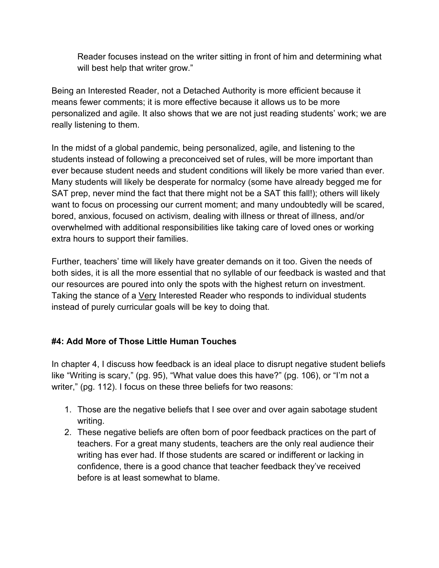Reader focuses instead on the writer sitting in front of him and determining what will best help that writer grow."

Being an Interested Reader, not a Detached Authority is more efficient because it means fewer comments; it is more effective because it allows us to be more personalized and agile. It also shows that we are not just reading students' work; we are really listening to them.

In the midst of a global pandemic, being personalized, agile, and listening to the students instead of following a preconceived set of rules, will be more important than ever because student needs and student conditions will likely be more varied than ever. Many students will likely be desperate for normalcy (some have already begged me for SAT prep, never mind the fact that there might not be a SAT this fall!); others will likely want to focus on processing our current moment; and many undoubtedly will be scared, bored, anxious, focused on activism, dealing with illness or threat of illness, and/or overwhelmed with additional responsibilities like taking care of loved ones or working extra hours to support their families.

Further, teachers' time will likely have greater demands on it too. Given the needs of both sides, it is all the more essential that no syllable of our feedback is wasted and that our resources are poured into only the spots with the highest return on investment. Taking the stance of a Very Interested Reader who responds to individual students instead of purely curricular goals will be key to doing that.

# **#4: Add More of Those Little Human Touches**

In chapter 4, I discuss how feedback is an ideal place to disrupt negative student beliefs like "Writing is scary," (pg. 95), "What value does this have?" (pg. 106), or "I'm not a writer," (pg. 112). I focus on these three beliefs for two reasons:

- 1. Those are the negative beliefs that I see over and over again sabotage student writing.
- 2. These negative beliefs are often born of poor feedback practices on the part of teachers. For a great many students, teachers are the only real audience their writing has ever had. If those students are scared or indifferent or lacking in confidence, there is a good chance that teacher feedback they've received before is at least somewhat to blame.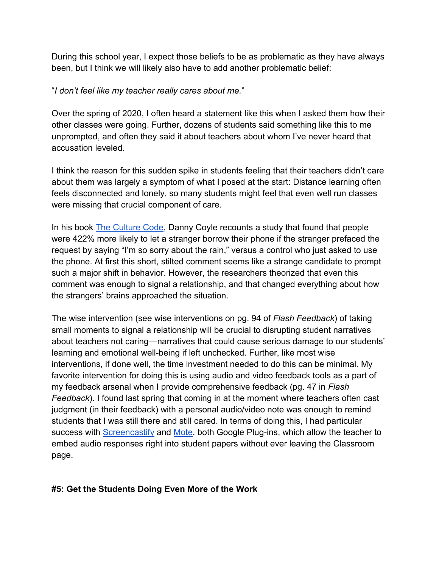During this school year, I expect those beliefs to be as problematic as they have always been, but I think we will likely also have to add another problematic belief:

### "*I don't feel like my teacher really cares about me.*"

Over the spring of 2020, I often heard a statement like this when I asked them how their other classes were going. Further, dozens of students said something like this to me unprompted, and often they said it about teachers about whom I've never heard that accusation leveled.

I think the reason for this sudden spike in students feeling that their teachers didn't care about them was largely a symptom of what I posed at the start: Distance learning often feels disconnected and lonely, so many students might feel that even well run classes were missing that crucial component of care.

In his book [The Culture Code,](https://www.amazon.com/Culture-Code-Secrets-Highly-Successful/dp/0525492461) Danny Coyle recounts a study that found that people were 422% more likely to let a stranger borrow their phone if the stranger prefaced the request by saying "I'm so sorry about the rain," versus a control who just asked to use the phone. At first this short, stilted comment seems like a strange candidate to prompt such a major shift in behavior. However, the researchers theorized that even this comment was enough to signal a relationship, and that changed everything about how the strangers' brains approached the situation.

The wise intervention (see wise interventions on pg. 94 of *Flash Feedback*) of taking small moments to signal a relationship will be crucial to disrupting student narratives about teachers not caring—narratives that could cause serious damage to our students' learning and emotional well-being if left unchecked. Further, like most wise interventions, if done well, the time investment needed to do this can be minimal. My favorite intervention for doing this is using audio and video feedback tools as a part of my feedback arsenal when I provide comprehensive feedback (pg. 47 in *Flash Feedback*). I found last spring that coming in at the moment where teachers often cast judgment (in their feedback) with a personal audio/video note was enough to remind students that I was still there and still cared. In terms of doing this, I had particular success with [Screencastify](https://www.screencastify.com/) and [Mote,](https://chrome.google.com/webstore/detail/mote-voice-notes-feedback/ajphlblkfpppdpkgokiejbjfohfohhmk?hl=en-US) both Google Plug-ins, which allow the teacher to embed audio responses right into student papers without ever leaving the Classroom page.

### **#5: Get the Students Doing Even More of the Work**